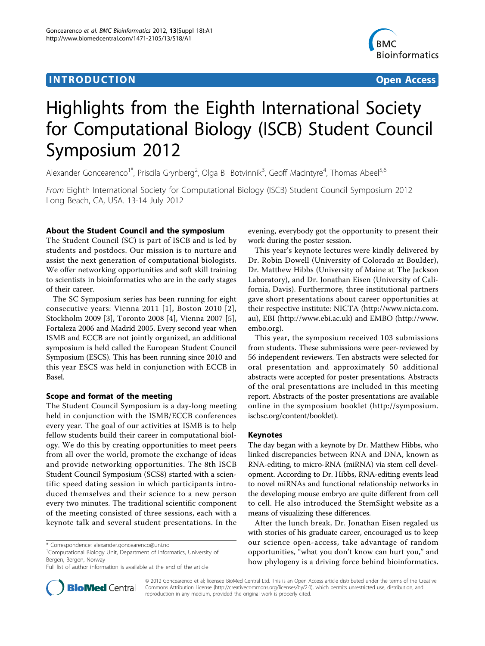# **INTRODUCTION CONSUMING THE CONSUMING TEACHER CONSUMING THE CONSUMING TEACHER CONSUMING THE CONSUMING TEACHER CONSUMING THE CONSUMING TEACHER CONSUMING THE CONSUMING TEACHER CONSUMING THE CONSUMING TEACHER CONSUMING THE**



# Highlights from the Eighth International Society for Computational Biology (ISCB) Student Council Symposium 2012

Alexander Goncearenco<sup>1\*</sup>, Priscila Grynberg<sup>2</sup>, Olga B Botvinnik<sup>3</sup>, Geoff Macintyre<sup>4</sup>, Thomas Abeel<sup>5,6</sup>

From Eighth International Society for Computational Biology (ISCB) Student Council Symposium 2012 Long Beach, CA, USA. 13-14 July 2012

# About the Student Council and the symposium

The Student Council (SC) is part of ISCB and is led by students and postdocs. Our mission is to nurture and assist the next generation of computational biologists. We offer networking opportunities and soft skill training to scientists in bioinformatics who are in the early stages of their career.

The SC Symposium series has been running for eight consecutive years: Vienna 2011 [[1\]](#page-2-0), Boston 2010 [[2\]](#page-2-0), Stockholm 2009 [\[3](#page-2-0)], Toronto 2008 [[4\]](#page-2-0), Vienna 2007 [[5](#page-2-0)], Fortaleza 2006 and Madrid 2005. Every second year when ISMB and ECCB are not jointly organized, an additional symposium is held called the European Student Council Symposium (ESCS). This has been running since 2010 and this year ESCS was held in conjunction with ECCB in Basel.

# Scope and format of the meeting

The Student Council Symposium is a day-long meeting held in conjunction with the ISMB/ECCB conferences every year. The goal of our activities at ISMB is to help fellow students build their career in computational biology. We do this by creating opportunities to meet peers from all over the world, promote the exchange of ideas and provide networking opportunities. The 8th ISCB Student Council Symposium (SCS8) started with a scientific speed dating session in which participants introduced themselves and their science to a new person every two minutes. The traditional scientific component of the meeting consisted of three sessions, each with a keynote talk and several student presentations. In the

<sup>1</sup>Computational Biology Unit, Department of Informatics, University of Bergen, Bergen, Norway



This year's keynote lectures were kindly delivered by Dr. Robin Dowell (University of Colorado at Boulder), Dr. Matthew Hibbs (University of Maine at The Jackson Laboratory), and Dr. Jonathan Eisen (University of California, Davis). Furthermore, three institutional partners gave short presentations about career opportunities at their respective institute: NICTA ([http://www.nicta.com.](http://www.nicta.com.au) [au\)](http://www.nicta.com.au), EBI (<http://www.ebi.ac.uk>) and EMBO ([http://www.](http://www.embo.org) [embo.org\)](http://www.embo.org).

This year, the symposium received 103 submissions from students. These submissions were peer-reviewed by 56 independent reviewers. Ten abstracts were selected for oral presentation and approximately 50 additional abstracts were accepted for poster presentations. Abstracts of the oral presentations are included in this meeting report. Abstracts of the poster presentations are available online in the symposium booklet ([http://symposium.](http://symposium.iscbsc.org/content/booklet) [iscbsc.org/content/booklet\)](http://symposium.iscbsc.org/content/booklet).

#### Keynotes

The day began with a keynote by Dr. Matthew Hibbs, who linked discrepancies between RNA and DNA, known as RNA-editing, to micro-RNA (miRNA) via stem cell development. According to Dr. Hibbs, RNA-editing events lead to novel miRNAs and functional relationship networks in the developing mouse embryo are quite different from cell to cell. He also introduced the StemSight website as a means of visualizing these differences.

After the lunch break, Dr. Jonathan Eisen regaled us with stories of his graduate career, encouraged us to keep our science open-access, take advantage of random opportunities, "what you don't know can hurt you," and how phylogeny is a driving force behind bioinformatics.



© 2012 Goncearenco et al; licensee BioMed Central Ltd. This is an Open Access article distributed under the terms of the Creative Commons Attribution License [\(http://creativecommons.org/licenses/by/2.0](http://creativecommons.org/licenses/by/2.0)), which permits unrestricted use, distribution, and reproduction in any medium, provided the original work is properly cited.

<sup>\*</sup> Correspondence: [alexander.goncearenco@uni.no](mailto:alexander.goncearenco@uni.no)

Full list of author information is available at the end of the article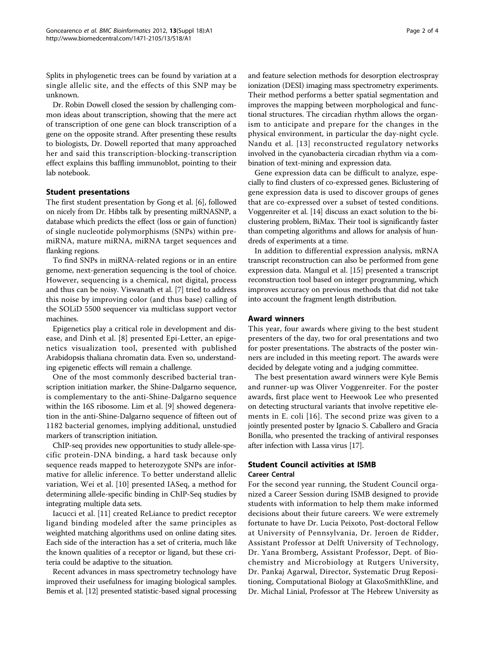Splits in phylogenetic trees can be found by variation at a single allelic site, and the effects of this SNP may be unknown.

Dr. Robin Dowell closed the session by challenging common ideas about transcription, showing that the mere act of transcription of one gene can block transcription of a gene on the opposite strand. After presenting these results to biologists, Dr. Dowell reported that many approached her and said this transcription-blocking-transcription effect explains this baffling immunoblot, pointing to their lab notebook.

# Student presentations

The first student presentation by Gong et al. [\[6](#page-2-0)], followed on nicely from Dr. Hibbs talk by presenting miRNASNP, a database which predicts the effect (loss or gain of function) of single nucleotide polymorphisms (SNPs) within premiRNA, mature miRNA, miRNA target sequences and flanking regions.

To find SNPs in miRNA-related regions or in an entire genome, next-generation sequencing is the tool of choice. However, sequencing is a chemical, not digital, process and thus can be noisy. Viswanath et al. [[7\]](#page-2-0) tried to address this noise by improving color (and thus base) calling of the SOLiD 5500 sequencer via multiclass support vector machines.

Epigenetics play a critical role in development and disease, and Dinh et al. [[8\]](#page-2-0) presented Epi-Letter, an epigenetics visualization tool, presented with published Arabidopsis thaliana chromatin data. Even so, understanding epigenetic effects will remain a challenge.

One of the most commonly described bacterial transcription initiation marker, the Shine-Dalgarno sequence, is complementary to the anti-Shine-Dalgarno sequence within the 16S ribosome. Lim et al. [\[9](#page-2-0)] showed degeneration in the anti-Shine-Dalgarno sequence of fifteen out of 1182 bacterial genomes, implying additional, unstudied markers of transcription initiation.

ChIP-seq provides new opportunities to study allele-specific protein-DNA binding, a hard task because only sequence reads mapped to heterozygote SNPs are informative for allelic inference. To better understand allelic variation, Wei et al. [\[10\]](#page-2-0) presented IASeq, a method for determining allele-specific binding in ChIP-Seq studies by integrating multiple data sets.

Iacucci et al. [[11\]](#page-2-0) created ReLiance to predict receptor ligand binding modeled after the same principles as weighted matching algorithms used on online dating sites. Each side of the interaction has a set of criteria, much like the known qualities of a receptor or ligand, but these criteria could be adaptive to the situation.

Recent advances in mass spectrometry technology have improved their usefulness for imaging biological samples. Bemis et al. [\[12\]](#page-3-0) presented statistic-based signal processing and feature selection methods for desorption electrospray ionization (DESI) imaging mass spectrometry experiments. Their method performs a better spatial segmentation and improves the mapping between morphological and functional structures. The circadian rhythm allows the organism to anticipate and prepare for the changes in the physical environment, in particular the day-night cycle. Nandu et al. [[13](#page-3-0)] reconstructed regulatory networks involved in the cyanobacteria circadian rhythm via a combination of text-mining and expression data.

Gene expression data can be difficult to analyze, especially to find clusters of co-expressed genes. Biclustering of gene expression data is used to discover groups of genes that are co-expressed over a subset of tested conditions. Voggenreiter et al. [\[14\]](#page-3-0) discuss an exact solution to the biclustering problem, BiMax. Their tool is significantly faster than competing algorithms and allows for analysis of hundreds of experiments at a time.

In addition to differential expression analysis, mRNA transcript reconstruction can also be performed from gene expression data. Mangul et al. [\[15](#page-3-0)] presented a transcript reconstruction tool based on integer programming, which improves accuracy on previous methods that did not take into account the fragment length distribution.

# Award winners

This year, four awards where giving to the best student presenters of the day, two for oral presentations and two for poster presentations. The abstracts of the poster winners are included in this meeting report. The awards were decided by delegate voting and a judging committee.

The best presentation award winners were Kyle Bemis and runner-up was Oliver Voggenreiter. For the poster awards, first place went to Heewook Lee who presented on detecting structural variants that involve repetitive elements in E. coli [[16](#page-3-0)]. The second prize was given to a jointly presented poster by Ignacio S. Caballero and Gracia Bonilla, who presented the tracking of antiviral responses after infection with Lassa virus [\[17\]](#page-3-0).

# Student Council activities at ISMB

# Career Central

For the second year running, the Student Council organized a Career Session during ISMB designed to provide students with information to help them make informed decisions about their future careers. We were extremely fortunate to have Dr. Lucia Peixoto, Post-doctoral Fellow at University of Pennsylvania, Dr. Jeroen de Ridder, Assistant Professor at Delft University of Technology, Dr. Yana Bromberg, Assistant Professor, Dept. of Biochemistry and Microbiology at Rutgers University, Dr. Pankaj Agarwal, Director, Systematic Drug Repositioning, Computational Biology at GlaxoSmithKline, and Dr. Michal Linial, Professor at The Hebrew University as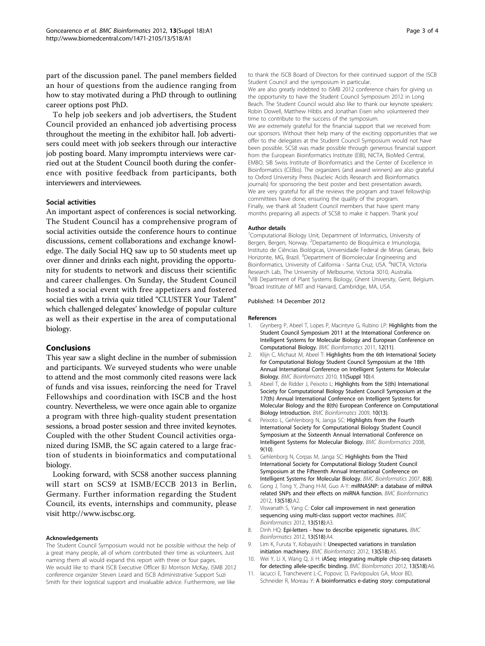<span id="page-2-0"></span>part of the discussion panel. The panel members fielded an hour of questions from the audience ranging from how to stay motivated during a PhD through to outlining career options post PhD.

To help job seekers and job advertisers, the Student Council provided an enhanced job advertising process throughout the meeting in the exhibitor hall. Job advertisers could meet with job seekers through our interactive job posting board. Many impromptu interviews were carried out at the Student Council booth during the conference with positive feedback from participants, both interviewers and interviewees.

#### Social activities

An important aspect of conferences is social networking. The Student Council has a comprehensive program of social activities outside the conference hours to continue discussions, cement collaborations and exchange knowledge. The daily Social HQ saw up to 50 students meet up over dinner and drinks each night, providing the opportunity for students to network and discuss their scientific and career challenges. On Sunday, the Student Council hosted a social event with free appetizers and fostered social ties with a trivia quiz titled "CLUSTER Your Talent" which challenged delegates' knowledge of popular culture as well as their expertise in the area of computational biology.

# Conclusions

This year saw a slight decline in the number of submission and participants. We surveyed students who were unable to attend and the most commonly cited reasons were lack of funds and visa issues, reinforcing the need for Travel Fellowships and coordination with ISCB and the host country. Nevertheless, we were once again able to organize a program with three high-quality student presentation sessions, a broad poster session and three invited keynotes. Coupled with the other Student Council activities organized during ISMB, the SC again catered to a large fraction of students in bioinformatics and computational biology.

Looking forward, with SCS8 another success planning will start on SCS9 at ISMB/ECCB 2013 in Berlin, Germany. Further information regarding the Student Council, its events, internships and community, please visit<http://www.iscbsc.org>.

#### Acknowledgements

The Student Council Symposium would not be possible without the help of a great many people, all of whom contributed their time as volunteers. Just naming them all would expand this report with three or four pages. We would like to thank ISCB Executive Officer BJ Morrison McKay, ISMB 2012 conference organizer Steven Leard and ISCB Administrative Support Suzi Smith for their logistical support and invaluable advice. Furthermore, we like

to thank the ISCB Board of Directors for their continued support of the ISCB Student Council and the symposium in particular.

We are also greatly indebted to ISMB 2012 conference chairs for giving us the opportunity to have the Student Council Symposium 2012 in Long Beach. The Student Council would also like to thank our keynote speakers: Robin Dowell, Matthew Hibbs and Jonathan Eisen who volunteered their time to contribute to the success of the symposium.

We are extremely grateful for the financial support that we received from our sponsors. Without their help many of the exciting opportunities that we offer to the delegates at the Student Council Symposium would not have been possible. SCS8 was made possible through generous financial support from the European Bioinformatics Institute (EBI), NICTA, BioMed Central, EMBO, SIB Swiss Institute of Bioinformatics and the Center of Excellence in Bioinformatics (CEBio). The organizers (and award winners) are also grateful to Oxford University Press (Nucleic Acids Research and Bioinformatics journals) for sponsoring the best poster and best presentation awards. We are very grateful for all the reviews the program and travel fellowship committees have done, ensuring the quality of the program. Finally, we thank all Student Council members that have spent many months preparing all aspects of SCS8 to make it happen. Thank you!

#### Author details

<sup>1</sup>Computational Biology Unit, Department of Informatics, University of Bergen, Bergen, Norway. <sup>2</sup>Departamento de Bioquímica e Imunologia, Instituto de Ciências Biológicas, Universidade Federal de Minas Gerais, Belo Horizonte, MG, Brazil. <sup>3</sup>Department of Biomolecular Engineering and Bioinformatics, University of California - Santa Cruz, USA. <sup>4</sup>NICTA, Victoria Research Lab, The University of Melbourne, Victoria 3010, Australia. 5 VIB Department of Plant Systems Biology, Ghent University, Gent, Belgium. 6 Broad Institute of MIT and Harvard, Cambridge, MA, USA.

#### Published: 14 December 2012

#### References

- Grynberg P, Abeel T, Lopes P, Macintyre G, Rubino LP: Highlights from the Student Council Symposium 2011 at the International Conference on Intelligent Systems for Molecular Biology and European Conference on Computational Biology. BMC Bioinformatics 2011, 12(11).
- 2. Klijn C, Michaut M, Abeel T: Highlights from the 6th International Society for Computational Biology Student Council Symposium at the 18th Annual International Conference on Intelligent Systems for Molecular Biology. BMC Bioinformatcs 2010, 11(Suppl 10):4.
- 3. Abeel T, de Ridder J, Peixoto L: Highlights from the 5(th) International Society for Computational Biology Student Council Symposium at the 17(th) Annual International Conference on Intelligent Systems for Molecular Biology and the 8(th) European Conference on Computational Biology Introduction. BMC Bioinformatics 2009, 10(13).
- 4. Peixoto L, Gehlenborg N, Janga SC: Highlights from the Fourth International Society for Computational Biology Student Council Symposium at the Sixteenth Annual International Conference on Intelligent Systems for Molecular Biology. BMC Bioinformatics 2008, 9(10).
- 5. Gehlenborg N, Corpas M, Janga SC: Highlights from the Third International Society for Computational Biology Student Council Symposium at the Fifteenth Annual International Conference on Intelligent Systems for Molecular Biology. BMC Bioinformatics 2007, 8(8).
- 6. Gong J, Tong Y, Zhang H-M, Guo A-Y: miRNASNP: a database of miRNA related SNPs and their effects on miRNA function. BMC Bioinformatics 2012, 13(S18):A2.
- 7. Viswanath S, Yang C: Color call improvement in next generation sequencing using multi-class support vector machines. BMC Bioinformatics 2012, 13(S18):A3.
- 8. Dinh HQ: Epi-letters how to describe epigenetic signatures. BMC Bioinformatics 2012, 13(S18):A4.
- 9. Lim K, Furuta Y, Kobayashi I: Unexpected variations in translation initiation machinery. BMC Bioinformatics 2012, 13(S18):A5.
- 10. Wei Y, Li X, Wang Q, Ji H: iASeq: integrating multiple chip-seq datasets for detecting allele-specific binding. BMC Bioinformatics 2012, 13(S18):A6.
- 11. Iacucci E, Tranchevent L-C, Popovic D, Pavlopoulos GA, Moor BD, Schneider R, Moreau Y: A bioinformatics e-dating story: computational